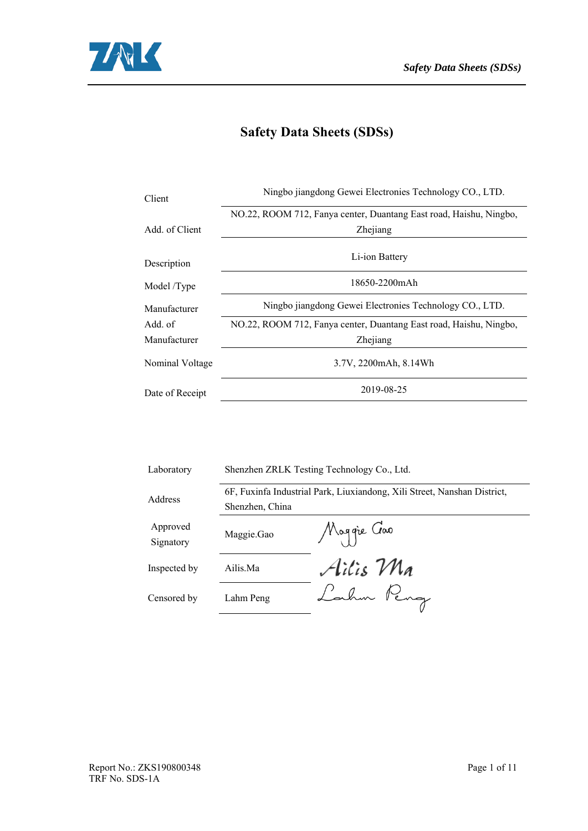

# **Safety Data Sheets (SDSs)**

| Client          | Ningbo jiangdong Gewei Electronies Technology CO., LTD.            |  |  |  |  |  |
|-----------------|--------------------------------------------------------------------|--|--|--|--|--|
|                 | NO.22, ROOM 712, Fanya center, Duantang East road, Haishu, Ningbo, |  |  |  |  |  |
| Add. of Client  | Zhejiang                                                           |  |  |  |  |  |
| Description     | Li-ion Battery                                                     |  |  |  |  |  |
| Model /Type     | 18650-2200mAh                                                      |  |  |  |  |  |
| Manufacturer    | Ningbo jiangdong Gewei Electronies Technology CO., LTD.            |  |  |  |  |  |
| Add. of         | NO.22, ROOM 712, Fanya center, Duantang East road, Haishu, Ningbo, |  |  |  |  |  |
| Manufacturer    | Zhejiang                                                           |  |  |  |  |  |
| Nominal Voltage | 3.7V, 2200mAh, 8.14Wh                                              |  |  |  |  |  |
| Date of Receipt | 2019-08-25                                                         |  |  |  |  |  |
|                 |                                                                    |  |  |  |  |  |

| Laboratory            | Shenzhen ZRLK Testing Technology Co., Ltd. |                                                                          |  |  |  |
|-----------------------|--------------------------------------------|--------------------------------------------------------------------------|--|--|--|
|                       |                                            | 6F, Fuxinfa Industrial Park, Liuxiandong, Xili Street, Nanshan District, |  |  |  |
| Address               | Shenzhen, China                            |                                                                          |  |  |  |
| Approved<br>Signatory | Maggie.Gao                                 | Maggie Gao                                                               |  |  |  |
| Inspected by          | Ailis.Ma                                   | Ailis Ma                                                                 |  |  |  |
| Censored by           | Lahm Peng                                  | Lahm Peng                                                                |  |  |  |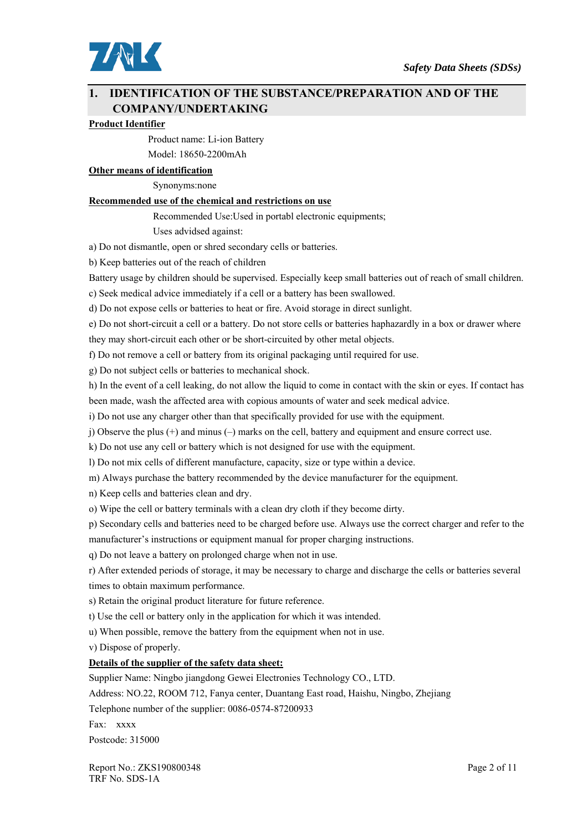

## **1. IDENTIFICATION OF THE SUBSTANCE/PREPARATION AND OF THE COMPANY/UNDERTAKING**

#### **Product Identifier**

 Product name: Li-ion Battery Model: 18650-2200mAh

#### **Other means of identification**

Synonyms:none

#### **Recommended use of the chemical and restrictions on use**

Recommended Use:Used in portabl electronic equipments;

Uses advidsed against:

a) Do not dismantle, open or shred secondary cells or batteries.

b) Keep batteries out of the reach of children

Battery usage by children should be supervised. Especially keep small batteries out of reach of small children.

c) Seek medical advice immediately if a cell or a battery has been swallowed.

d) Do not expose cells or batteries to heat or fire. Avoid storage in direct sunlight.

e) Do not short-circuit a cell or a battery. Do not store cells or batteries haphazardly in a box or drawer where they may short-circuit each other or be short-circuited by other metal objects.

f) Do not remove a cell or battery from its original packaging until required for use.

g) Do not subject cells or batteries to mechanical shock.

h) In the event of a cell leaking, do not allow the liquid to come in contact with the skin or eyes. If contact has

been made, wash the affected area with copious amounts of water and seek medical advice.

i) Do not use any charger other than that specifically provided for use with the equipment.

j) Observe the plus (+) and minus (–) marks on the cell, battery and equipment and ensure correct use.

k) Do not use any cell or battery which is not designed for use with the equipment.

l) Do not mix cells of different manufacture, capacity, size or type within a device.

m) Always purchase the battery recommended by the device manufacturer for the equipment.

n) Keep cells and batteries clean and dry.

o) Wipe the cell or battery terminals with a clean dry cloth if they become dirty.

p) Secondary cells and batteries need to be charged before use. Always use the correct charger and refer to the

manufacturer's instructions or equipment manual for proper charging instructions.

q) Do not leave a battery on prolonged charge when not in use.

r) After extended periods of storage, it may be necessary to charge and discharge the cells or batteries several times to obtain maximum performance.

s) Retain the original product literature for future reference.

t) Use the cell or battery only in the application for which it was intended.

u) When possible, remove the battery from the equipment when not in use.

v) Dispose of properly.

### **Details of the supplier of the safety data sheet:**

Supplier Name: Ningbo jiangdong Gewei Electronies Technology CO., LTD.

Address: NO.22, ROOM 712, Fanya center, Duantang East road, Haishu, Ningbo, Zhejiang

Telephone number of the supplier: 0086-0574-87200933

Fax: xxxx

Postcode: 315000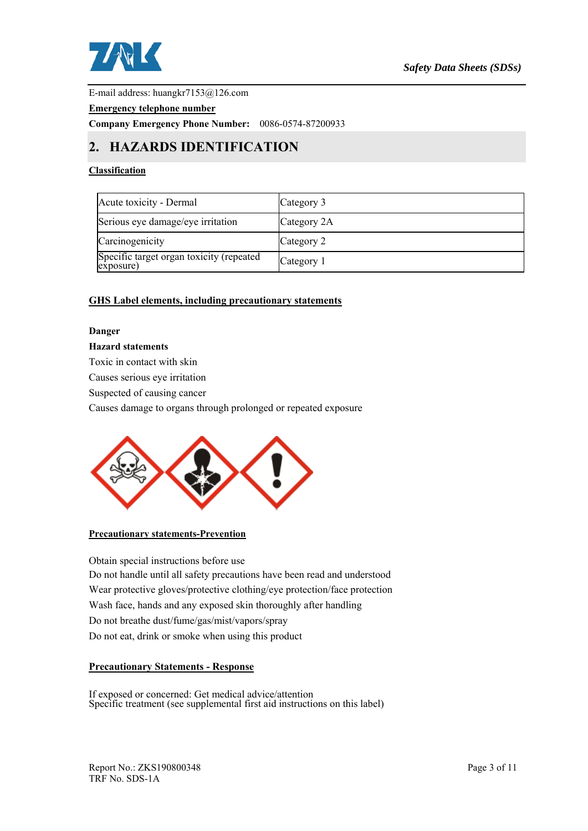

E-mail address: huangkr7153@126.com

#### **Emergency telephone number**

**Company Emergency Phone Number:** 0086-0574-87200933

# **2. HAZARDS IDENTIFICATION**

### **Classification**

| Acute toxicity - Dermal                               | Category 3  |
|-------------------------------------------------------|-------------|
| Serious eye damage/eye irritation                     | Category 2A |
| Carcinogenicity                                       | Category 2  |
| Specific target organ toxicity (repeated<br>exposure) | Category 1  |

### **GHS Label elements, including precautionary statements**

#### **Danger**

#### **Hazard statements**

Toxic in contact with skin

Causes serious eye irritation

Suspected of causing cancer

Causes damage to organs through prolonged or repeated exposure



**Precautionary statements-Prevention** 

Obtain special instructions before use Do not handle until all safety precautions have been read and understood Wear protective gloves/protective clothing/eye protection/face protection Wash face, hands and any exposed skin thoroughly after handling Do not breathe dust/fume/gas/mist/vapors/spray Do not eat, drink or smoke when using this product

### **Precautionary Statements - Response**

If exposed or concerned: Get medical advice/attention Specific treatment (see supplemental first aid instructions on this label)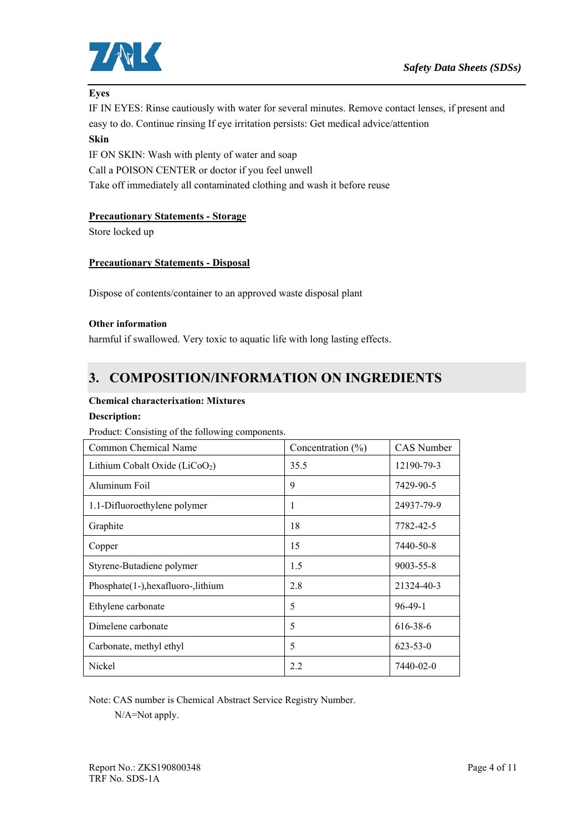

### **Eyes**

IF IN EYES: Rinse cautiously with water for several minutes. Remove contact lenses, if present and easy to do. Continue rinsing If eye irritation persists: Get medical advice/attention

## **Skin**

IF ON SKIN: Wash with plenty of water and soap Call a POISON CENTER or doctor if you feel unwell Take off immediately all contaminated clothing and wash it before reuse

### **Precautionary Statements - Storage**

Store locked up

### **Precautionary Statements - Disposal**

Dispose of contents/container to an approved waste disposal plant

### **Other information**

harmful if swallowed. Very toxic to aquatic life with long lasting effects.

# **3. COMPOSITION/INFORMATION ON INGREDIENTS**

#### **Chemical characterixation: Mixtures**

### **Description:**

### Product: Consisting of the following components.

| Common Chemical Name                | Concentration $(\% )$ | CAS Number      |  |
|-------------------------------------|-----------------------|-----------------|--|
| Lithium Cobalt Oxide ( $LiCoO2$ )   | 35.5                  | 12190-79-3      |  |
| Aluminum Foil                       | 9                     | 7429-90-5       |  |
| 1.1-Difluoroethylene polymer        | 1                     | 24937-79-9      |  |
| Graphite                            | 18                    | 7782-42-5       |  |
| Copper                              | 15                    | 7440-50-8       |  |
| Styrene-Butadiene polymer           | 1.5                   | $9003 - 55 - 8$ |  |
| Phosphate(1-), hexafluoro-, lithium | 2.8                   | 21324-40-3      |  |
| Ethylene carbonate                  | 5                     | $96 - 49 - 1$   |  |
| Dimelene carbonate                  | 5                     | 616-38-6        |  |
| Carbonate, methyl ethyl             | 5                     | $623 - 53 - 0$  |  |
| Nickel                              | 2.2<br>7440-02-0      |                 |  |

Note: CAS number is Chemical Abstract Service Registry Number.

N/A=Not apply.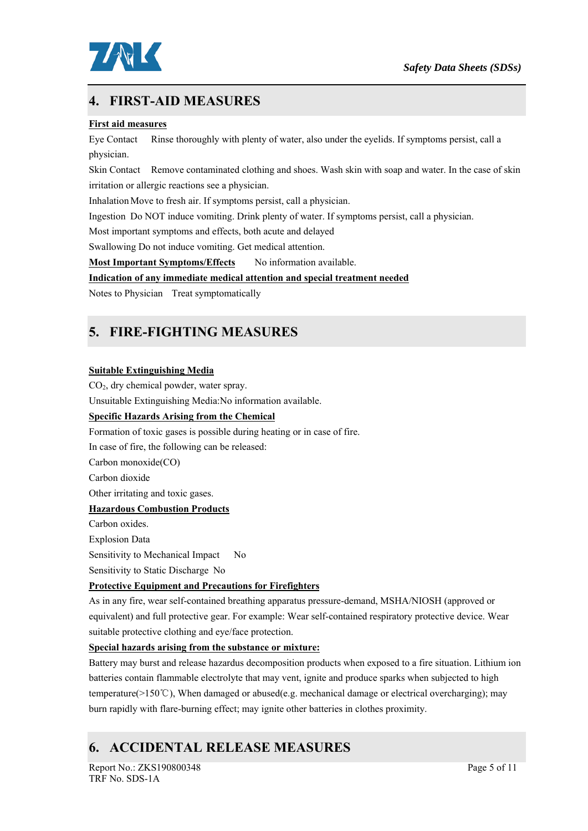

# **4. FIRST-AID MEASURES**

### **First aid measures**

Eye Contact Rinse thoroughly with plenty of water, also under the eyelids. If symptoms persist, call a physician.

Skin Contact Remove contaminated clothing and shoes. Wash skin with soap and water. In the case of skin irritation or allergic reactions see a physician.

Inhalation Move to fresh air. If symptoms persist, call a physician.

Ingestion Do NOT induce vomiting. Drink plenty of water. If symptoms persist, call a physician.

Most important symptoms and effects, both acute and delayed

Swallowing Do not induce vomiting. Get medical attention.

**Most Important Symptoms/Effects** No information available.

### **Indication of any immediate medical attention and special treatment needed**

Notes to Physician Treat symptomatically

# **5. FIRE-FIGHTING MEASURES**

#### **Suitable Extinguishing Media**

CO<sub>2</sub>, dry chemical powder, water spray.

Unsuitable Extinguishing Media:No information available.

### **Specific Hazards Arising from the Chemical**

Formation of toxic gases is possible during heating or in case of fire.

In case of fire, the following can be released:

Carbon monoxide(CO)

Carbon dioxide

Other irritating and toxic gases.

### **Hazardous Combustion Products**

Carbon oxides. Explosion Data Sensitivity to Mechanical Impact No Sensitivity to Static Discharge No

### **Protective Equipment and Precautions for Firefighters**

As in any fire, wear self-contained breathing apparatus pressure-demand, MSHA/NIOSH (approved or equivalent) and full protective gear. For example: Wear self-contained respiratory protective device. Wear suitable protective clothing and eye/face protection.

### **Special hazards arising from the substance or mixture:**

Battery may burst and release hazardus decomposition products when exposed to a fire situation. Lithium ion batteries contain flammable electrolyte that may vent, ignite and produce sparks when subjected to high temperature(>150℃), When damaged or abused(e.g. mechanical damage or electrical overcharging); may burn rapidly with flare-burning effect; may ignite other batteries in clothes proximity.

# **6. ACCIDENTAL RELEASE MEASURES**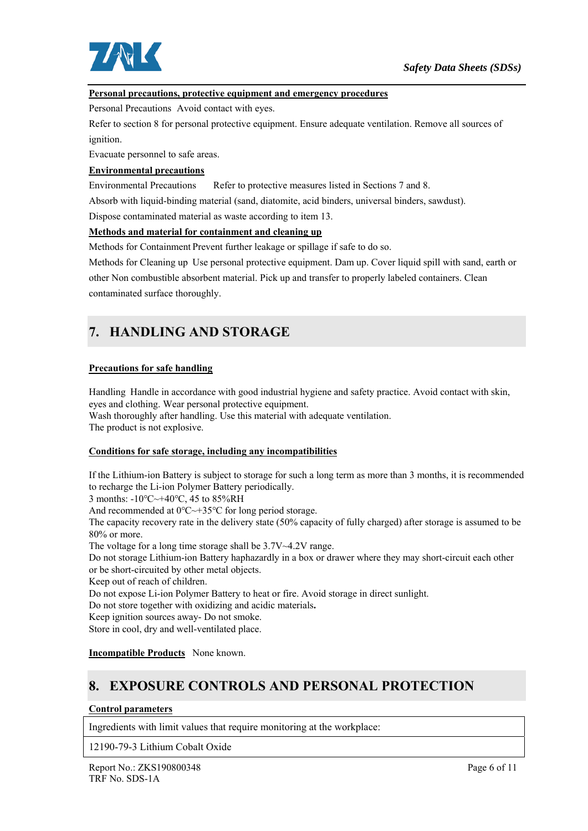

### **Personal precautions, protective equipment and emergency procedures**

Personal Precautions Avoid contact with eyes.

Refer to section 8 for personal protective equipment. Ensure adequate ventilation. Remove all sources of ignition.

Evacuate personnel to safe areas.

### **Environmental precautions**

Environmental Precautions Refer to protective measures listed in Sections 7 and 8.

Absorb with liquid-binding material (sand, diatomite, acid binders, universal binders, sawdust).

Dispose contaminated material as waste according to item 13.

#### **Methods and material for containment and cleaning up**

Methods for Containment Prevent further leakage or spillage if safe to do so.

Methods for Cleaning up Use personal protective equipment. Dam up. Cover liquid spill with sand, earth or other Non combustible absorbent material. Pick up and transfer to properly labeled containers. Clean contaminated surface thoroughly.

# **7. HANDLING AND STORAGE**

#### **Precautions for safe handling**

Handling Handle in accordance with good industrial hygiene and safety practice. Avoid contact with skin, eyes and clothing. Wear personal protective equipment.

Wash thoroughly after handling. Use this material with adequate ventilation. The product is not explosive.

#### **Conditions for safe storage, including any incompatibilities**

If the Lithium-ion Battery is subject to storage for such a long term as more than 3 months, it is recommended to recharge the Li-ion Polymer Battery periodically.

3 months: -10℃~+40℃, 45 to 85%RH

And recommended at 0℃~+35℃ for long period storage.

The capacity recovery rate in the delivery state (50% capacity of fully charged) after storage is assumed to be 80% or more.

The voltage for a long time storage shall be  $3.7V~4.2V$  range.

Do not storage Lithium-ion Battery haphazardly in a box or drawer where they may short-circuit each other or be short-circuited by other metal objects.

Keep out of reach of children.

Do not expose Li-ion Polymer Battery to heat or fire. Avoid storage in direct sunlight.

Do not store together with oxidizing and acidic materials**.** 

Keep ignition sources away- Do not smoke.

Store in cool, dry and well-ventilated place.

**Incompatible Products** None known.

# **8. EXPOSURE CONTROLS AND PERSONAL PROTECTION**

### **Control parameters**

Ingredients with limit values that require monitoring at the workplace:

12190-79-3 Lithium Cobalt Oxide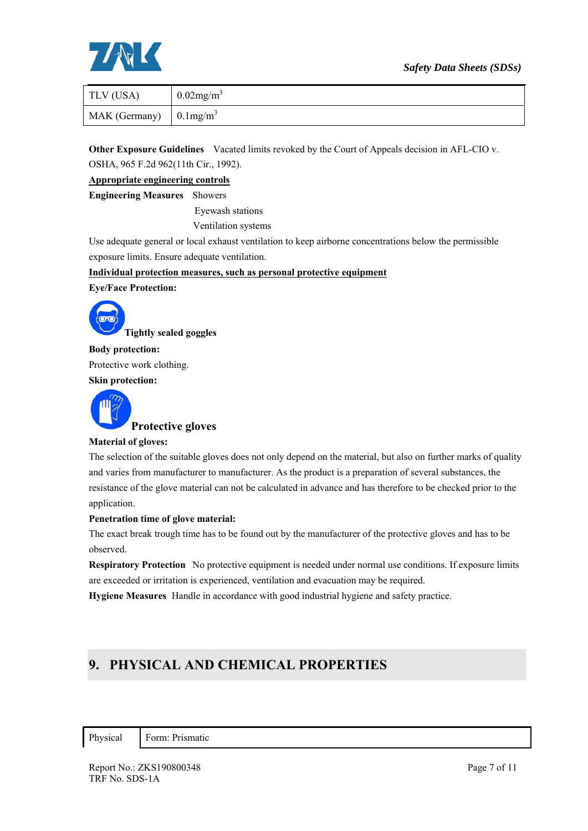### *Safety Data Sheets (SDSs)*



| TLV (USA)                              | $0.02$ mg/m <sup>3</sup> |
|----------------------------------------|--------------------------|
| MAK (Germany) $\int 0.1 \text{mg/m}^3$ |                          |

**Other Exposure Guidelines** Vacated limits revoked by the Court of Appeals decision in AFL-CIO v. OSHA, 965 F.2d 962(11th Cir., 1992).

**Appropriate engineering controls** 

**Engineering Measures** Showers

Eyewash stations

Ventilation systems

Use adequate general or local exhaust ventilation to keep airborne concentrations below the permissible exposure limits. Ensure adequate ventilation.

**Individual protection measures, such as personal protective equipment** 

**Eye/Face Protection:** 



**Body protection:**  Protective work clothing.

**Skin protection:** 



#### **Material of gloves:**

The selection of the suitable gloves does not only depend on the material, but also on further marks of quality and varies from manufacturer to manufacturer. As the product is a preparation of several substances, the resistance of the glove material can not be calculated in advance and has therefore to be checked prior to the application.

#### **Penetration time of glove material:**

The exact break trough time has to be found out by the manufacturer of the protective gloves and has to be observed.

**Respiratory Protection** No protective equipment is needed under normal use conditions. If exposure limits are exceeded or irritation is experienced, ventilation and evacuation may be required.

**Hygiene Measures** Handle in accordance with good industrial hygiene and safety practice.

# **9. PHYSICAL AND CHEMICAL PROPERTIES**

Physical Form: Prismatic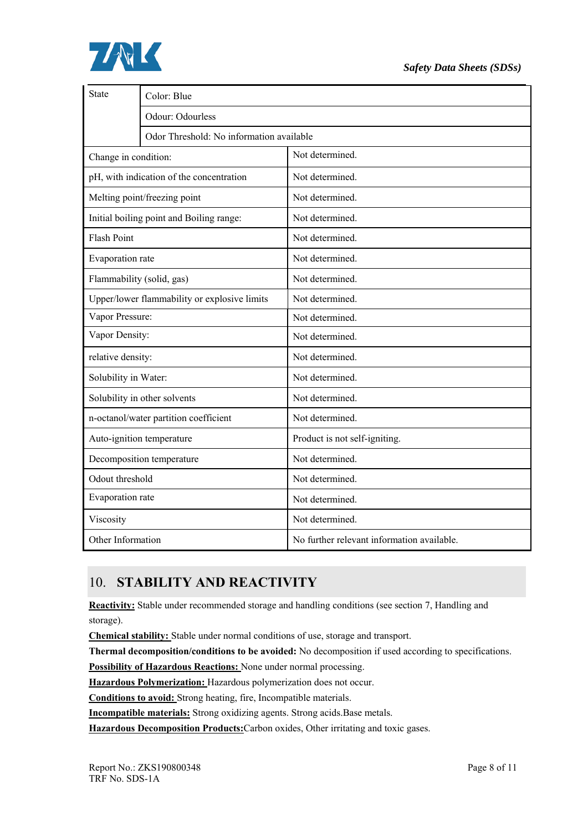

| State                                 | Color: Blue                                  |                                            |  |  |  |  |  |  |
|---------------------------------------|----------------------------------------------|--------------------------------------------|--|--|--|--|--|--|
|                                       | Odour: Odourless                             |                                            |  |  |  |  |  |  |
|                                       | Odor Threshold: No information available     |                                            |  |  |  |  |  |  |
| Change in condition:                  |                                              | Not determined.                            |  |  |  |  |  |  |
|                                       | pH, with indication of the concentration     | Not determined.                            |  |  |  |  |  |  |
|                                       | Melting point/freezing point                 | Not determined.                            |  |  |  |  |  |  |
|                                       | Initial boiling point and Boiling range:     | Not determined.                            |  |  |  |  |  |  |
| <b>Flash Point</b>                    |                                              | Not determined.                            |  |  |  |  |  |  |
| Evaporation rate                      |                                              | Not determined.                            |  |  |  |  |  |  |
| Flammability (solid, gas)             |                                              | Not determined.                            |  |  |  |  |  |  |
|                                       | Upper/lower flammability or explosive limits | Not determined.                            |  |  |  |  |  |  |
| Vapor Pressure:                       |                                              | Not determined.                            |  |  |  |  |  |  |
| Vapor Density:                        |                                              | Not determined.                            |  |  |  |  |  |  |
| relative density:                     |                                              | Not determined.                            |  |  |  |  |  |  |
| Solubility in Water:                  |                                              | Not determined.                            |  |  |  |  |  |  |
|                                       | Solubility in other solvents                 | Not determined.                            |  |  |  |  |  |  |
| n-octanol/water partition coefficient |                                              | Not determined.                            |  |  |  |  |  |  |
| Auto-ignition temperature             |                                              | Product is not self-igniting.              |  |  |  |  |  |  |
| Decomposition temperature             |                                              | Not determined.                            |  |  |  |  |  |  |
| Odout threshold                       |                                              | Not determined.                            |  |  |  |  |  |  |
| Evaporation rate                      |                                              | Not determined.                            |  |  |  |  |  |  |
| Viscosity                             |                                              | Not determined.                            |  |  |  |  |  |  |
| Other Information                     |                                              | No further relevant information available. |  |  |  |  |  |  |

# 10. **STABILITY AND REACTIVITY**

**Reactivity:** Stable under recommended storage and handling conditions (see section 7, Handling and storage).

**Chemical stability:** Stable under normal conditions of use, storage and transport.

**Thermal decomposition/conditions to be avoided:** No decomposition if used according to specifications.

**Possibility of Hazardous Reactions:** None under normal processing.

**Hazardous Polymerization:** Hazardous polymerization does not occur.

**Conditions to avoid:** Strong heating, fire, Incompatible materials.

**Incompatible materials:** Strong oxidizing agents. Strong acids.Base metals.

**Hazardous Decomposition Products:**Carbon oxides, Other irritating and toxic gases.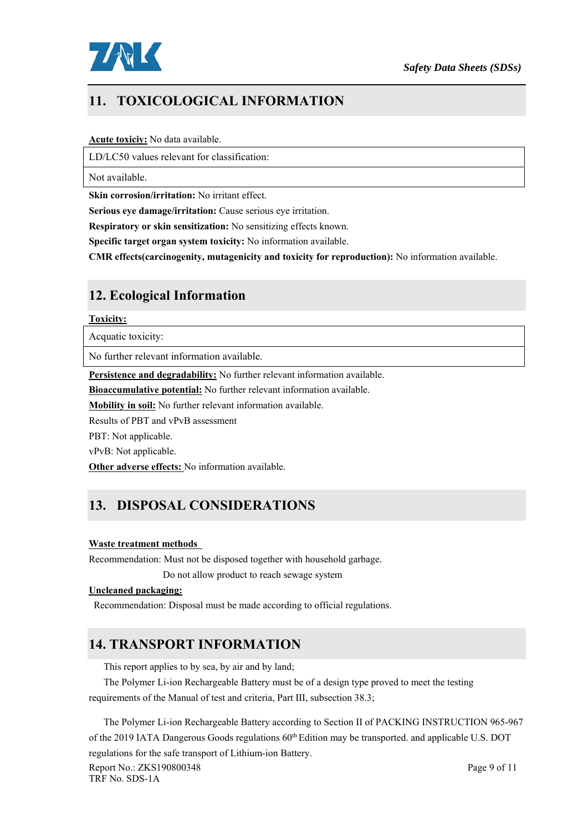

# **11. TOXICOLOGICAL INFORMATION**

#### **Acute toxiciy:** No data available.

LD/LC50 values relevant for classification:

Not available.

**Skin corrosion/irritation:** No irritant effect.

**Serious eye damage/irritation:** Cause serious eye irritation.

**Respiratory or skin sensitization:** No sensitizing effects known.

**Specific target organ system toxicity:** No information available.

**CMR effects(carcinogenity, mutagenicity and toxicity for reproduction):** No information available.

# **12. Ecological Information**

#### **Toxicity:**

Acquatic toxicity:

No further relevant information available.

**Persistence and degradability:** No further relevant information available.

**Bioaccumulative potential:** No further relevant information available.

**Mobility in soil:** No further relevant information available.

Results of PBT and vPvB assessment

PBT: Not applicable.

vPvB: Not applicable.

**Other adverse effects:** No information available.

# **13. DISPOSAL CONSIDERATIONS**

### **Waste treatment methods**

Recommendation: Must not be disposed together with household garbage.

Do not allow product to reach sewage system

### **Uncleaned packaging:**

Recommendation: Disposal must be made according to official regulations.

# **14. TRANSPORT INFORMATION**

This report applies to by sea, by air and by land;

The Polymer Li-ion Rechargeable Battery must be of a design type proved to meet the testing requirements of the Manual of test and criteria, Part III, subsection 38.3;

The Polymer Li-ion Rechargeable Battery according to Section II of PACKING INSTRUCTION 965-967 of the 2019 IATA Dangerous Goods regulations 60<sup>th</sup> Edition may be transported. and applicable U.S. DOT regulations for the safe transport of Lithium-ion Battery.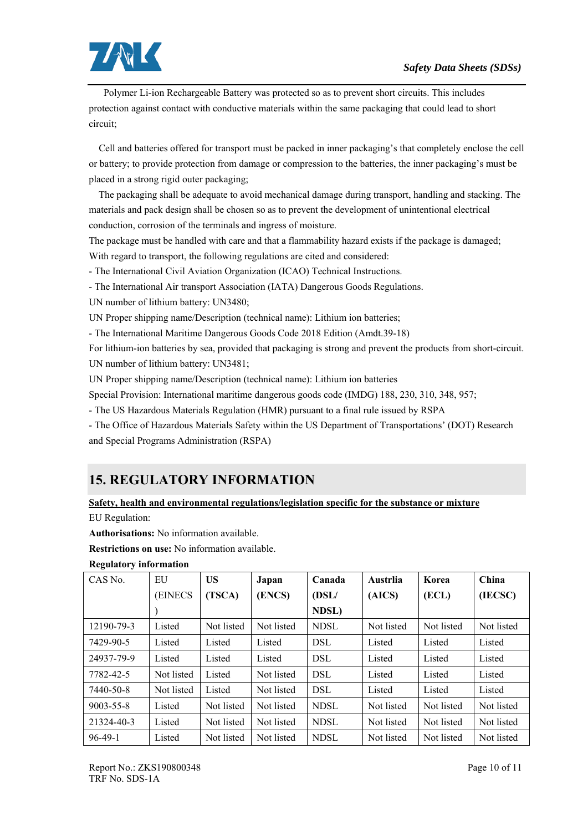

 Polymer Li-ion Rechargeable Battery was protected so as to prevent short circuits. This includes protection against contact with conductive materials within the same packaging that could lead to short circuit;

 Cell and batteries offered for transport must be packed in inner packaging's that completely enclose the cell or battery; to provide protection from damage or compression to the batteries, the inner packaging's must be placed in a strong rigid outer packaging;

 The packaging shall be adequate to avoid mechanical damage during transport, handling and stacking. The materials and pack design shall be chosen so as to prevent the development of unintentional electrical conduction, corrosion of the terminals and ingress of moisture.

The package must be handled with care and that a flammability hazard exists if the package is damaged; With regard to transport, the following regulations are cited and considered:

- The International Civil Aviation Organization (ICAO) Technical Instructions.

- The International Air transport Association (IATA) Dangerous Goods Regulations.

UN number of lithium battery: UN3480;

UN Proper shipping name/Description (technical name): Lithium ion batteries;

- The International Maritime Dangerous Goods Code 2018 Edition (Amdt.39-18)

For lithium-ion batteries by sea, provided that packaging is strong and prevent the products from short-circuit. UN number of lithium battery: UN3481;

UN Proper shipping name/Description (technical name): Lithium ion batteries

Special Provision: International maritime dangerous goods code (IMDG) 188, 230, 310, 348, 957;

- The US Hazardous Materials Regulation (HMR) pursuant to a final rule issued by RSPA

- The Office of Hazardous Materials Safety within the US Department of Transportations' (DOT) Research and Special Programs Administration (RSPA)

# **15. REGULATORY INFORMATION**

## **Safety, health and environmental regulations/legislation specific for the substance or mixture**  EU Regulation:

**Authorisations:** No information available.

**Restrictions on use:** No information available.

| CAS No.         | EU            | <b>US</b>  | Japan      | Canada      | Austrlia   | Korea      | China      |
|-----------------|---------------|------------|------------|-------------|------------|------------|------------|
|                 | <b>EINECS</b> | (TSCA)     | (ENCS)     | (DSL/       | (AICS)     | (ECL)      | (IECSC)    |
|                 |               |            |            | NDSL)       |            |            |            |
| 12190-79-3      | Listed        | Not listed | Not listed | <b>NDSL</b> | Not listed | Not listed | Not listed |
| 7429-90-5       | Listed        | Listed     | Listed     | DSL         | Listed     | Listed     | Listed     |
| 24937-79-9      | Listed        | Listed     | Listed     | <b>DSL</b>  | Listed     | Listed     | Listed     |
| 7782-42-5       | Not listed    | Listed     | Not listed | <b>DSL</b>  | Listed     | Listed     | Listed     |
| 7440-50-8       | Not listed    | Listed     | Not listed | <b>DSL</b>  | Listed     | Listed     | Listed     |
| $9003 - 55 - 8$ | Listed        | Not listed | Not listed | <b>NDSL</b> | Not listed | Not listed | Not listed |
| 21324-40-3      | Listed        | Not listed | Not listed | <b>NDSL</b> | Not listed | Not listed | Not listed |
| $96-49-1$       | Listed        | Not listed | Not listed | <b>NDSL</b> | Not listed | Not listed | Not listed |

### **Regulatory information**